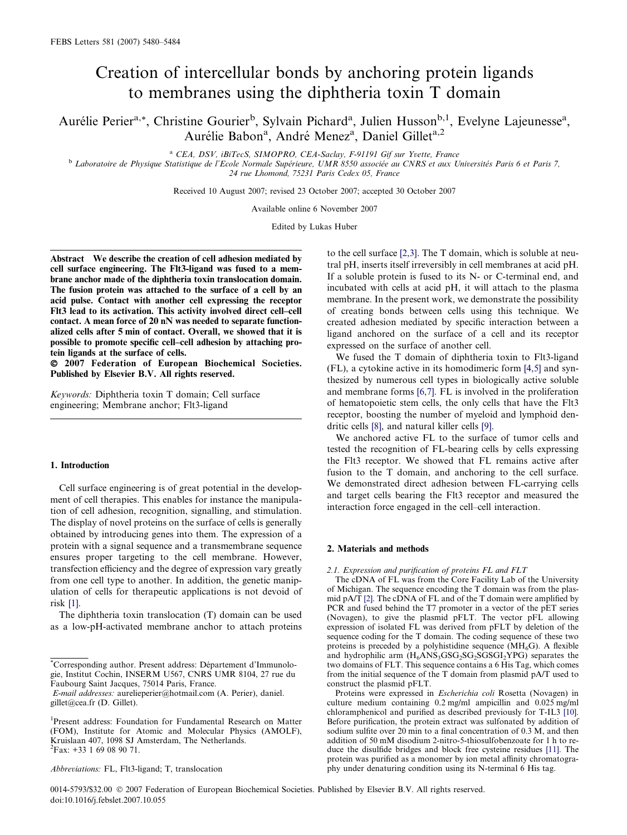# Creation of intercellular bonds by anchoring protein ligands to membranes using the diphtheria toxin T domain

Aurélie Perier<sup>a,\*</sup>, Christine Gourier<sup>b</sup>, Sylvain Pichard<sup>a</sup>, Julien Husson<sup>b,1</sup>, Evelyne Lajeunesse<sup>a</sup>, Aurélie Babon<sup>a</sup>, André Menez<sup>a</sup>, Daniel Gillet<sup>a,2</sup>

<sup>a</sup> CEA, DSV, iBiTecS, SIMOPRO, CEA-Saclay, F-91191 Gif sur Yvette, France<br>b Laboratoire de Physique Statistique de l'Ecole Normale Supérieure, UMR 8550 associée au CNRS et aux Universités Paris 6 et Paris 7, 24 rue Lhomond, 75231 Paris Cedex 05, France

Received 10 August 2007; revised 23 October 2007; accepted 30 October 2007

Available online 6 November 2007

Edited by Lukas Huber

Abstract We describe the creation of cell adhesion mediated by cell surface engineering. The Flt3-ligand was fused to a membrane anchor made of the diphtheria toxin translocation domain. The fusion protein was attached to the surface of a cell by an acid pulse. Contact with another cell expressing the receptor Flt3 lead to its activation. This activity involved direct cell–cell contact. A mean force of 20 nN was needed to separate functionalized cells after 5 min of contact. Overall, we showed that it is possible to promote specific cell–cell adhesion by attaching protein ligands at the surface of cells.

- 2007 Federation of European Biochemical Societies. Published by Elsevier B.V. All rights reserved.

Keywords: Diphtheria toxin T domain; Cell surface engineering; Membrane anchor; Flt3-ligand

#### 1. Introduction

Cell surface engineering is of great potential in the development of cell therapies. This enables for instance the manipulation of cell adhesion, recognition, signalling, and stimulation. The display of novel proteins on the surface of cells is generally obtained by introducing genes into them. The expression of a protein with a signal sequence and a transmembrane sequence ensures proper targeting to the cell membrane. However, transfection efficiency and the degree of expression vary greatly from one cell type to another. In addition, the genetic manipulation of cells for therapeutic applications is not devoid of risk [\[1\]](#page-3-0).

The diphtheria toxin translocation (T) domain can be used as a low-pH-activated membrane anchor to attach proteins

to the cell surface [\[2,3\]](#page-3-0). The T domain, which is soluble at neutral pH, inserts itself irreversibly in cell membranes at acid pH. If a soluble protein is fused to its N- or C-terminal end, and incubated with cells at acid pH, it will attach to the plasma membrane. In the present work, we demonstrate the possibility of creating bonds between cells using this technique. We created adhesion mediated by specific interaction between a ligand anchored on the surface of a cell and its receptor expressed on the surface of another cell.

We fused the T domain of diphtheria toxin to Flt3-ligand (FL), a cytokine active in its homodimeric form [\[4,5\]](#page-3-0) and synthesized by numerous cell types in biologically active soluble and membrane forms [\[6,7\].](#page-3-0) FL is involved in the proliferation of hematopoietic stem cells, the only cells that have the Flt3 receptor, boosting the number of myeloid and lymphoid dendritic cells [\[8\]](#page-3-0), and natural killer cells [\[9\]](#page-3-0).

We anchored active FL to the surface of tumor cells and tested the recognition of FL-bearing cells by cells expressing the Flt3 receptor. We showed that FL remains active after fusion to the T domain, and anchoring to the cell surface. We demonstrated direct adhesion between FL-carrying cells and target cells bearing the Flt3 receptor and measured the interaction force engaged in the cell–cell interaction.

## 2. Materials and methods

#### 2.1. Expression and purification of proteins FL and FLT

The cDNA of FL was from the Core Facility Lab of the University of Michigan. The sequence encoding the T domain was from the plasmid pA/T [\[2\]](#page-3-0). The cDNA of FL and of the T domain were amplified by PCR and fused behind the T7 promoter in a vector of the pET series (Novagen), to give the plasmid pFLT. The vector pFL allowing expression of isolated FL was derived from pFLT by deletion of the sequence coding for the T domain. The coding sequence of these two proteins is preceded by a polyhistidine sequence ( $MH<sub>6</sub>G$ ). A flexible and hydrophilic arm  $(H_6ANS_3GSG_2SG_2SGSGI_2YPG)$  separates the two domains of FLT. This sequence contains a 6 His Tag, which comes from the initial sequence of the T domain from plasmid pA/T used to construct the plasmid pFLT.

Proteins were expressed in Escherichia coli Rosetta (Novagen) in culture medium containing 0.2 mg/ml ampicillin and 0.025 mg/ml chloramphenicol and purified as described previously for T-IL3 [\[10\].](#page-3-0) Before purification, the protein extract was sulfonated by addition of sodium sulfite over 20 min to a final concentration of 0.3 M, and then addition of 50 mM disodium 2-nitro-5-thiosulfobenzoate for 1 h to reduce the disulfide bridges and block free cysteine residues [\[11\]](#page-4-0). The protein was purified as a monomer by ion metal affinity chromatogra-Abbreviations: FL, Flt3-ligand; T, translocation phy under denaturing condition using its N-terminal 6 His tag.

<sup>\*</sup>Corresponding author. Present address: Département d'Immunologie, Institut Cochin, INSERM U567, CNRS UMR 8104, 27 rue du Faubourg Saint Jacques, 75014 Paris, France.

E-mail addresses: aurelieperier@hotmail.com (A. Perier), daniel. gillet@cea.fr (D. Gillet).

<sup>&</sup>lt;sup>1</sup>Present address: Foundation for Fundamental Research on Matter (FOM), Institute for Atomic and Molecular Physics (AMOLF), Kruislaan 407, 1098 SJ Amsterdam, The Netherlands. 2 Fax: +33 1 69 08 90 71.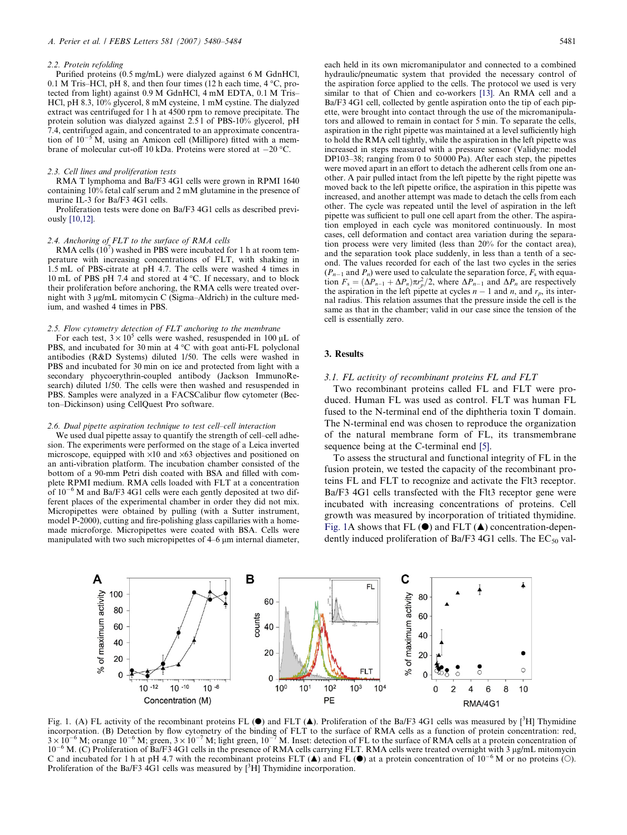#### <span id="page-1-0"></span>2.2. Protein refolding

Purified proteins (0.5 mg/mL) were dialyzed against 6 M GdnHCl, 0.1 M Tris–HCl, pH 8, and then four times (12 h each time,  $4^{\circ}$ C, protected from light) against 0.9 M GdnHCl, 4 mM EDTA, 0.1 M Tris– HCl, pH 8.3, 10% glycerol, 8 mM cysteine, 1 mM cystine. The dialyzed extract was centrifuged for 1 h at 4500 rpm to remove precipitate. The protein solution was dialyzed against 2.5 l of PBS-10% glycerol, pH 7.4, centrifuged again, and concentrated to an approximate concentration of  $10^{-5}$ M, using an Amicon cell (Millipore) fitted with a membrane of molecular cut-off 10 kDa. Proteins were stored at  $-20$  °C.

#### 2.3. Cell lines and proliferation tests

RMA T lymphoma and Ba/F3 4G1 cells were grown in RPMI 1640 containing 10% fetal calf serum and 2 mM glutamine in the presence of murine IL-3 for Ba/F3 4G1 cells.

Proliferation tests were done on Ba/F3 4G1 cells as described previously [\[10,12\]](#page-3-0).

## 2.4. Anchoring of FLT to the surface of RMA cells

RMA cells  $(10^7)$  washed in PBS were incubated for 1 h at room temperature with increasing concentrations of FLT, with shaking in 1.5 mL of PBS-citrate at pH 4.7. The cells were washed 4 times in 10 mL of PBS pH 7.4 and stored at 4 °C. If necessary, and to block their proliferation before anchoring, the RMA cells were treated overnight with 3 µg/mL mitomycin C (Sigma–Aldrich) in the culture medium, and washed 4 times in PBS.

# 2.5. Flow cytometry detection of FLT anchoring to the membrane

For each test,  $3 \times 10^5$  cells were washed, resuspended in 100 µL of PBS, and incubated for 30 min at  $4^{\circ}$ C with goat anti-FL polyclonal antibodies (R&D Systems) diluted 1/50. The cells were washed in PBS and incubated for 30 min on ice and protected from light with a secondary phycoerythrin-coupled antibody (Jackson ImmunoResearch) diluted 1/50. The cells were then washed and resuspended in PBS. Samples were analyzed in a FACSCalibur flow cytometer (Becton–Dickinson) using CellQuest Pro software.

#### 2.6. Dual pipette aspiration technique to test cell–cell interaction

We used dual pipette assay to quantify the strength of cell–cell adhesion. The experiments were performed on the stage of a Leica inverted microscope, equipped with  $\times 10$  and  $\times 63$  objectives and positioned on an anti-vibration platform. The incubation chamber consisted of the bottom of a 90-mm Petri dish coated with BSA and filled with complete RPMI medium. RMA cells loaded with FLT at a concentration of  $10^{-6}$  M and Ba/F3 4G1 cells were each gently deposited at two different places of the experimental chamber in order they did not mix. Micropipettes were obtained by pulling (with a Sutter instrument, model P-2000), cutting and fire-polishing glass capillaries with a homemade microforge. Micropipettes were coated with BSA. Cells were manipulated with two such micropipettes of 4–6 µm internal diameter, each held in its own micromanipulator and connected to a combined hydraulic/pneumatic system that provided the necessary control of the aspiration force applied to the cells. The protocol we used is very similar to that of Chien and co-workers [\[13\]](#page-4-0). An RMA cell and a Ba/F3 4G1 cell, collected by gentle aspiration onto the tip of each pipette, were brought into contact through the use of the micromanipulators and allowed to remain in contact for 5 min. To separate the cells, aspiration in the right pipette was maintained at a level sufficiently high to hold the RMA cell tightly, while the aspiration in the left pipette was increased in steps measured with a pressure sensor (Validyne: model DP103–38; ranging from 0 to  $50000$  Pa). After each step, the pipettes were moved apart in an effort to detach the adherent cells from one another. A pair pulled intact from the left pipette by the right pipette was moved back to the left pipette orifice, the aspiration in this pipette was increased, and another attempt was made to detach the cells from each other. The cycle was repeated until the level of aspiration in the left pipette was sufficient to pull one cell apart from the other. The aspiration employed in each cycle was monitored continuously. In most cases, cell deformation and contact area variation during the separation process were very limited (less than 20% for the contact area), and the separation took place suddenly, in less than a tenth of a second. The values recorded for each of the last two cycles in the series  $(P_{n-1}$  and  $P_n$ ) were used to calculate the separation force,  $F_s$  with equation  $F_s = (\Delta P_{n-1} + \Delta P_n) \pi r_p^2/2$ , where  $\Delta P_{n-1}$  and  $\Delta P_n$  are respectively the aspiration in the left pipette at cycles  $n-1$  and  $n$ , and  $r_p$ , its internal radius. This relation assumes that the pressure inside the cell is the same as that in the chamber; valid in our case since the tension of the cell is essentially zero.

# 3. Results

#### 3.1. FL activity of recombinant proteins FL and FLT

Two recombinant proteins called FL and FLT were produced. Human FL was used as control. FLT was human FL fused to the N-terminal end of the diphtheria toxin T domain. The N-terminal end was chosen to reproduce the organization of the natural membrane form of FL, its transmembrane sequence being at the C-terminal end [\[5\].](#page-3-0)

To assess the structural and functional integrity of FL in the fusion protein, we tested the capacity of the recombinant proteins FL and FLT to recognize and activate the Flt3 receptor. Ba/F3 4G1 cells transfected with the Flt3 receptor gene were incubated with increasing concentrations of proteins. Cell growth was measured by incorporation of tritiated thymidine. Fig. 1A shows that FL  $(\bullet)$  and FLT  $(\blacktriangle)$  concentration-dependently induced proliferation of Ba/F3 4G1 cells. The  $EC_{50}$  val-



Fig. 1. (A) FL activity of the recombinant proteins FL ( $\bullet$ ) and FLT ( $\blacktriangle$ ). Proliferation of the Ba/F3 4G1 cells was measured by [<sup>3</sup>H] Thymidine incorporation. (B) Detection by flow cytometry of the binding of FLT to the surface of RMA cells as a function of protein concentration: red,  $3 \times 10^{-6}$  M; orange  $10^{-6}$  M; green,  $3 \times 10^{-7}$  M; light green,  $10^{-7}$  M. 10<sup>-6</sup> M. (C) Proliferation of Ba/F3 4G1 cells in the presence of RMA cells carrying FLT. RMA cells were treated overnight with 3 µg/mL mitomycin C and incubated for 1 h at pH 4.7 with the recombinant proteins FLT  $(\triangle)$  and FL  $(\triangle)$  at a protein concentration of  $10^{-6}$  M or no proteins (O). Proliferation of the Ba/F3  $\widehat{4}$ G1 cells was measured by  $\widehat{ }$ [<sup>3</sup>H] Thymidine incorporation.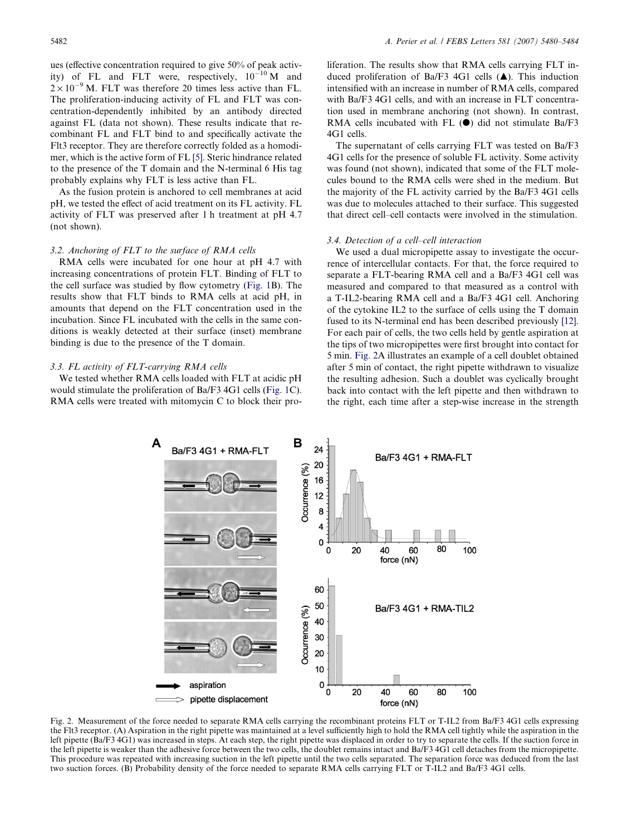<span id="page-2-0"></span>ues (effective concentration required to give 50% of peak activity) of FL and FLT were, respectively,  $10^{-10}$  M and  $2 \times 10^{-9}$  M. FLT was therefore 20 times less active than FL. The proliferation-inducing activity of FL and FLT was concentration-dependently inhibited by an antibody directed against FL (data not shown). These results indicate that recombinant FL and FLT bind to and specifically activate the Flt3 receptor. They are therefore correctly folded as a homodimer, which is the active form of FL [\[5\]](#page-3-0). Steric hindrance related to the presence of the T domain and the N-terminal 6 His tag probably explains why FLT is less active than FL.

As the fusion protein is anchored to cell membranes at acid pH, we tested the effect of acid treatment on its FL activity. FL activity of FLT was preserved after 1 h treatment at pH 4.7 (not shown).

## 3.2. Anchoring of FLT to the surface of RMA cells

RMA cells were incubated for one hour at pH 4.7 with increasing concentrations of protein FLT. Binding of FLT to the cell surface was studied by flow cytometry [\(Fig. 1](#page-1-0)B). The results show that FLT binds to RMA cells at acid pH, in amounts that depend on the FLT concentration used in the incubation. Since FL incubated with the cells in the same conditions is weakly detected at their surface (inset) membrane binding is due to the presence of the T domain.

## 3.3. FL activity of FLT-carrying RMA cells

We tested whether RMA cells loaded with FLT at acidic pH would stimulate the proliferation of Ba/F3 4G1 cells ([Fig. 1](#page-1-0)C). RMA cells were treated with mitomycin C to block their proliferation. The results show that RMA cells carrying FLT induced proliferation of Ba/F3 4G1 cells  $(A)$ . This induction intensified with an increase in number of RMA cells, compared with Ba/F3 4G1 cells, and with an increase in FLT concentration used in membrane anchoring (not shown). In contrast, RMA cells incubated with FL  $(\bullet)$  did not stimulate Ba/F3 4G1 cells.

The supernatant of cells carrying FLT was tested on Ba/F3 4G1 cells for the presence of soluble FL activity. Some activity was found (not shown), indicated that some of the FLT molecules bound to the RMA cells were shed in the medium. But the majority of the FL activity carried by the Ba/F3 4G1 cells was due to molecules attached to their surface. This suggested that direct cell–cell contacts were involved in the stimulation.

# 3.4. Detection of a cell–cell interaction

We used a dual micropipette assay to investigate the occurrence of intercellular contacts. For that, the force required to separate a FLT-bearing RMA cell and a Ba/F3 4G1 cell was measured and compared to that measured as a control with a T-IL2-bearing RMA cell and a Ba/F3 4G1 cell. Anchoring of the cytokine IL2 to the surface of cells using the T domain fused to its N-terminal end has been described previously [\[12\]](#page-4-0). For each pair of cells, the two cells held by gentle aspiration at the tips of two micropipettes were first brought into contact for 5 min. Fig. 2A illustrates an example of a cell doublet obtained after 5 min of contact, the right pipette withdrawn to visualize the resulting adhesion. Such a doublet was cyclically brought back into contact with the left pipette and then withdrawn to the right, each time after a step-wise increase in the strength



Fig. 2. Measurement of the force needed to separate RMA cells carrying the recombinant proteins FLT or T-IL2 from Ba/F3 4G1 cells expressing the Flt3 receptor. (A) Aspiration in the right pipette was maintained at a level sufficiently high to hold the RMA cell tightly while the aspiration in the left pipette (Ba/F3 4G1) was increased in steps. At each step, the right pipette was displaced in order to try to separate the cells. If the suction force in the left pipette is weaker than the adhesive force between the two cells, the doublet remains intact and Ba/F3 4G1 cell detaches from the micropipette. This procedure was repeated with increasing suction in the left pipette until the two cells separated. The separation force was deduced from the last two suction forces. (B) Probability density of the force needed to separate RMA cells carrying FLT or T-IL2 and Ba/F3 4G1 cells.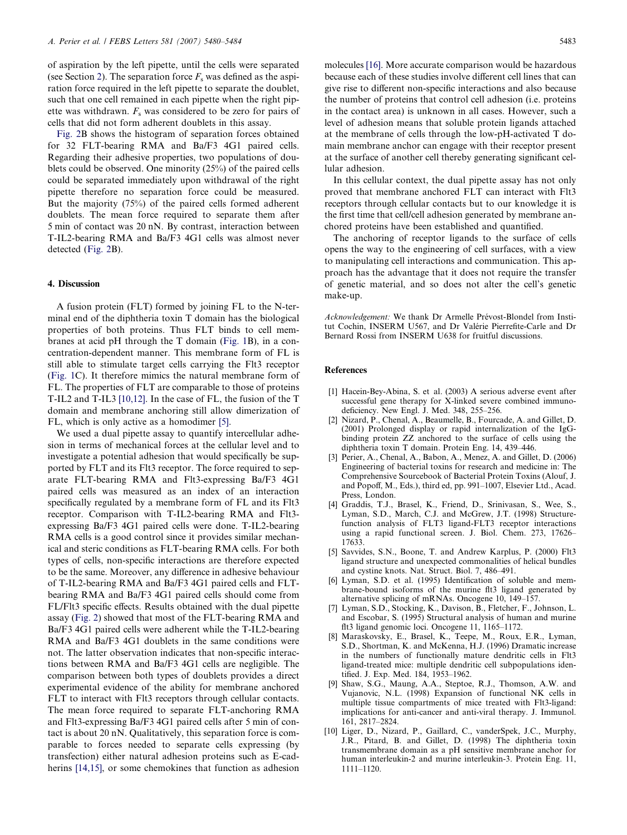<span id="page-3-0"></span>of aspiration by the left pipette, until the cells were separated (see Section 2). The separation force  $F_s$  was defined as the aspiration force required in the left pipette to separate the doublet, such that one cell remained in each pipette when the right pipette was withdrawn.  $F_s$  was considered to be zero for pairs of cells that did not form adherent doublets in this assay.

[Fig. 2B](#page-2-0) shows the histogram of separation forces obtained for 32 FLT-bearing RMA and Ba/F3 4G1 paired cells. Regarding their adhesive properties, two populations of doublets could be observed. One minority (25%) of the paired cells could be separated immediately upon withdrawal of the right pipette therefore no separation force could be measured. But the majority (75%) of the paired cells formed adherent doublets. The mean force required to separate them after 5 min of contact was 20 nN. By contrast, interaction between T-IL2-bearing RMA and Ba/F3 4G1 cells was almost never detected ([Fig. 2B](#page-2-0)).

# 4. Discussion

A fusion protein (FLT) formed by joining FL to the N-terminal end of the diphtheria toxin T domain has the biological properties of both proteins. Thus FLT binds to cell membranes at acid pH through the T domain [\(Fig. 1B](#page-1-0)), in a concentration-dependent manner. This membrane form of FL is still able to stimulate target cells carrying the Flt3 receptor [\(Fig. 1](#page-1-0)C). It therefore mimics the natural membrane form of FL. The properties of FLT are comparable to those of proteins T-IL2 and T-IL3 [10,12]. In the case of FL, the fusion of the T domain and membrane anchoring still allow dimerization of FL, which is only active as a homodimer [5].

We used a dual pipette assay to quantify intercellular adhesion in terms of mechanical forces at the cellular level and to investigate a potential adhesion that would specifically be supported by FLT and its Flt3 receptor. The force required to separate FLT-bearing RMA and Flt3-expressing Ba/F3 4G1 paired cells was measured as an index of an interaction specifically regulated by a membrane form of FL and its Flt3 receptor. Comparison with T-IL2-bearing RMA and Flt3 expressing Ba/F3 4G1 paired cells were done. T-IL2-bearing RMA cells is a good control since it provides similar mechanical and steric conditions as FLT-bearing RMA cells. For both types of cells, non-specific interactions are therefore expected to be the same. Moreover, any difference in adhesive behaviour of T-IL2-bearing RMA and Ba/F3 4G1 paired cells and FLTbearing RMA and Ba/F3 4G1 paired cells should come from FL/Flt3 specific effects. Results obtained with the dual pipette assay [\(Fig. 2](#page-2-0)) showed that most of the FLT-bearing RMA and Ba/F3 4G1 paired cells were adherent while the T-IL2-bearing RMA and Ba/F3 4G1 doublets in the same conditions were not. The latter observation indicates that non-specific interactions between RMA and Ba/F3 4G1 cells are negligible. The comparison between both types of doublets provides a direct experimental evidence of the ability for membrane anchored FLT to interact with Flt3 receptors through cellular contacts. The mean force required to separate FLT-anchoring RMA and Flt3-expressing Ba/F3 4G1 paired cells after 5 min of contact is about 20 nN. Qualitatively, this separation force is comparable to forces needed to separate cells expressing (by transfection) either natural adhesion proteins such as E-cad-herins [\[14,15\],](#page-4-0) or some chemokines that function as adhesion molecules [\[16\].](#page-4-0) More accurate comparison would be hazardous because each of these studies involve different cell lines that can give rise to different non-specific interactions and also because the number of proteins that control cell adhesion (i.e. proteins in the contact area) is unknown in all cases. However, such a level of adhesion means that soluble protein ligands attached at the membrane of cells through the low-pH-activated T domain membrane anchor can engage with their receptor present at the surface of another cell thereby generating significant cellular adhesion.

In this cellular context, the dual pipette assay has not only proved that membrane anchored FLT can interact with Flt3 receptors through cellular contacts but to our knowledge it is the first time that cell/cell adhesion generated by membrane anchored proteins have been established and quantified.

The anchoring of receptor ligands to the surface of cells opens the way to the engineering of cell surfaces, with a view to manipulating cell interactions and communication. This approach has the advantage that it does not require the transfer of genetic material, and so does not alter the cell's genetic make-up.

Acknowledgement: We thank Dr Armelle Prévost-Blondel from Institut Cochin, INSERM U567, and Dr Valérie Pierrefite-Carle and Dr Bernard Rossi from INSERM U638 for fruitful discussions.

## **References**

- [1] Hacein-Bey-Abina, S. et al. (2003) A serious adverse event after successful gene therapy for X-linked severe combined immunodeficiency. New Engl. J. Med. 348, 255–256.
- [2] Nizard, P., Chenal, A., Beaumelle, B., Fourcade, A. and Gillet, D. (2001) Prolonged display or rapid internalization of the IgGbinding protein ZZ anchored to the surface of cells using the diphtheria toxin T domain. Protein Eng. 14, 439–446.
- [3] Perier, A., Chenal, A., Babon, A., Menez, A. and Gillet, D. (2006) Engineering of bacterial toxins for research and medicine in: The Comprehensive Sourcebook of Bacterial Protein Toxins (Alouf, J. and Popoff, M., Eds.), third ed, pp. 991–1007, Elsevier Ltd., Acad. Press, London.
- [4] Graddis, T.J., Brasel, K., Friend, D., Srinivasan, S., Wee, S., Lyman, S.D., March, C.J. and McGrew, J.T. (1998) Structurefunction analysis of FLT3 ligand-FLT3 receptor interactions using a rapid functional screen. J. Biol. Chem. 273, 17626– 17633.
- [5] Savvides, S.N., Boone, T. and Andrew Karplus, P. (2000) Flt3 ligand structure and unexpected commonalities of helical bundles and cystine knots. Nat. Struct. Biol. 7, 486–491.
- [6] Lyman, S.D. et al. (1995) Identification of soluble and membrane-bound isoforms of the murine flt3 ligand generated by alternative splicing of mRNAs. Oncogene 10, 149–157.
- [7] Lyman, S.D., Stocking, K., Davison, B., Fletcher, F., Johnson, L. and Escobar, S. (1995) Structural analysis of human and murine flt3 ligand genomic loci. Oncogene 11, 1165–1172.
- [8] Maraskovsky, E., Brasel, K., Teepe, M., Roux, E.R., Lyman, S.D., Shortman, K. and McKenna, H.J. (1996) Dramatic increase in the numbers of functionally mature dendritic cells in Flt3 ligand-treated mice: multiple dendritic cell subpopulations identified. J. Exp. Med. 184, 1953–1962.
- Shaw, S.G., Maung, A.A., Steptoe, R.J., Thomson, A.W. and Vujanovic, N.L. (1998) Expansion of functional NK cells in multiple tissue compartments of mice treated with Flt3-ligand: implications for anti-cancer and anti-viral therapy. J. Immunol. 161, 2817–2824.
- [10] Liger, D., Nizard, P., Gaillard, C., vanderSpek, J.C., Murphy, J.R., Pitard, B. and Gillet, D. (1998) The diphtheria toxin transmembrane domain as a pH sensitive membrane anchor for human interleukin-2 and murine interleukin-3. Protein Eng. 11, 1111–1120.